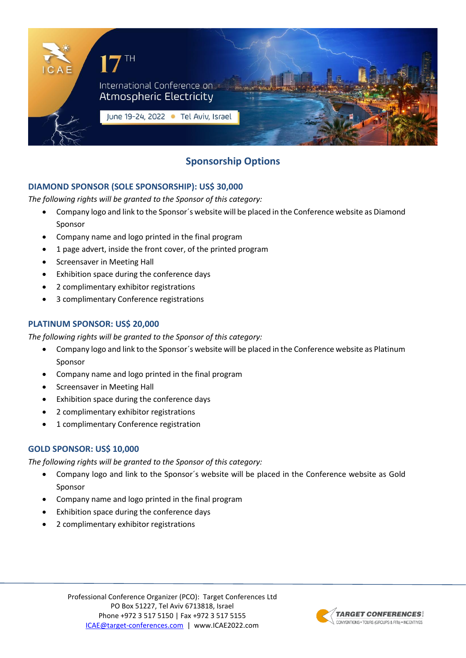

# **Sponsorship Options**

# **DIAMOND SPONSOR (SOLE SPONSORSHIP): US\$ 30,000**

*The following rights will be granted to the Sponsor of this category:*

- Company logo and link to the Sponsor´s website will be placed in the Conference website as Diamond Sponsor
- Company name and logo printed in the final program
- 1 page advert, inside the front cover, of the printed program
- Screensaver in Meeting Hall
- Exhibition space during the conference days
- 2 complimentary exhibitor registrations
- 3 complimentary Conference registrations

#### **PLATINUM SPONSOR: US\$ 20,000**

*The following rights will be granted to the Sponsor of this category:*

- Company logo and link to the Sponsor´s website will be placed in the Conference website as Platinum Sponsor
- Company name and logo printed in the final program
- Screensaver in Meeting Hall
- Exhibition space during the conference days
- 2 complimentary exhibitor registrations
- 1 complimentary Conference registration

## **GOLD SPONSOR: US\$ 10,000**

*The following rights will be granted to the Sponsor of this category:*

- Company logo and link to the Sponsor´s website will be placed in the Conference website as Gold Sponsor
- Company name and logo printed in the final program
- Exhibition space during the conference days
- 2 complimentary exhibitor registrations

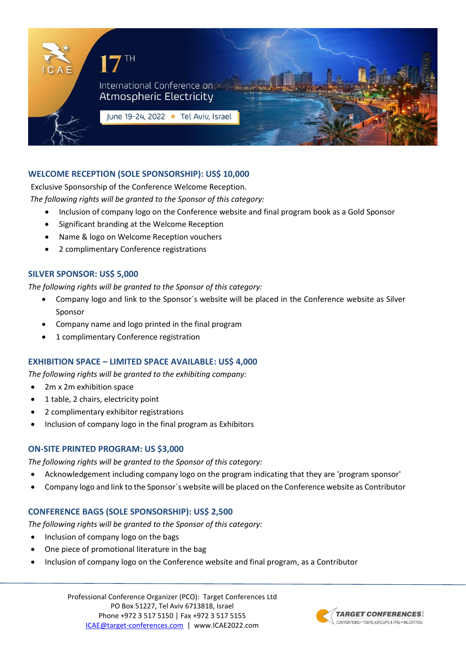

# **WELCOME RECEPTION (SOLE SPONSORSHIP): US\$ 10,000**

Exclusive Sponsorship of the Conference Welcome Reception.

*The following rights will be granted to the Sponsor of this category:*

- Inclusion of company logo on the Conference website and final program book as a Gold Sponsor
- Significant branding at the Welcome Reception
- Name & logo on Welcome Reception vouchers
- 2 complimentary Conference registrations

#### **SILVER SPONSOR: US\$ 5,000**

*The following rights will be granted to the Sponsor of this category:*

- Company logo and link to the Sponsor´s website will be placed in the Conference website as Silver Sponsor
- Company name and logo printed in the final program
- 1 complimentary Conference registration

## **EXHIBITION SPACE – LIMITED SPACE AVAILABLE: US\$ 4,000**

*The following rights will be granted to the exhibiting company:*

- 2m x 2m exhibition space
- 1 table, 2 chairs, electricity point
- 2 complimentary exhibitor registrations
- Inclusion of company logo in the final program as Exhibitors

## **ON-SITE PRINTED PROGRAM: US \$3,000**

*The following rights will be granted to the Sponsor of this category:*

- Acknowledgement including company logo on the program indicating that they are 'program sponsor'
- Company logo and link to the Sponsor´s website will be placed on the Conference website as Contributor

## **CONFERENCE BAGS (SOLE SPONSORSHIP): US\$ 2,500**

*The following rights will be granted to the Sponsor of this category:*

- Inclusion of company logo on the bags
- One piece of promotional literature in the bag
- Inclusion of company logo on the Conference website and final program, as a Contributor